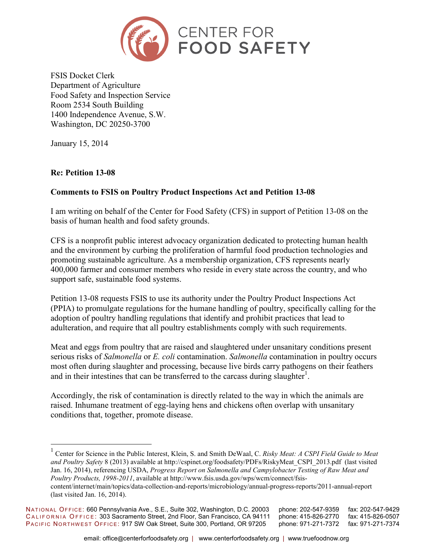

FSIS Docket Clerk Department of Agriculture Food Safety and Inspection Service Room 2534 South Building 1400 Independence Avenue, S.W. Washington, DC 20250-3700

January 15, 2014

## **Re: Petition 13-08**

 $\overline{a}$ 

## **Comments to FSIS on Poultry Product Inspections Act and Petition 13-08**

I am writing on behalf of the Center for Food Safety (CFS) in support of Petition 13-08 on the basis of human health and food safety grounds.

CFS is a nonprofit public interest advocacy organization dedicated to protecting human health and the environment by curbing the proliferation of harmful food production technologies and promoting sustainable agriculture. As a membership organization, CFS represents nearly 400,000 farmer and consumer members who reside in every state across the country, and who support safe, sustainable food systems.

Petition 13-08 requests FSIS to use its authority under the Poultry Product Inspections Act (PPIA) to promulgate regulations for the humane handling of poultry, specifically calling for the adoption of poultry handling regulations that identify and prohibit practices that lead to adulteration, and require that all poultry establishments comply with such requirements.

Meat and eggs from poultry that are raised and slaughtered under unsanitary conditions present serious risks of *Salmonella* or *E. coli* contamination. *Salmonella* contamination in poultry occurs most often during slaughter and processing, because live birds carry pathogens on their feathers and in their intestines that can be transferred to the carcass during slaughter<sup>1</sup>.

Accordingly, the risk of contamination is directly related to the way in which the animals are raised. Inhumane treatment of egg-laying hens and chickens often overlap with unsanitary conditions that, together, promote disease.

<sup>&</sup>lt;sup>1</sup> Center for Science in the Public Interest, Klein, S. and Smith DeWaal, C. *Risky Meat: A CSPI Field Guide to Meat and Poultry Safety* 8 (2013) available at http://cspinet.org/foodsafety/PDFs/RiskyMeat\_CSPI\_2013.pdf (last visited Jan. 16, 2014), referencing USDA, *Progress Report on Salmonella and Campylobacter Testing of Raw Meat and Poultry Products, 1998-2011*, available at http://www.fsis.usda.gov/wps/wcm/connect/fsiscontent/internet/main/topics/data-collection-and-reports/microbiology/annual-progress-reports/2011-annual-report (last visited Jan. 16, 2014).

NATIONAL OFFICE: 660 Pennsylvania Ave., S.E., Suite 302, Washington, D.C. 20003 phone: 202-547-9359 fax: 202-547-9429<br>CALIFORNIA OFFICE: 303 Sacramento Street, 2nd Floor, San Francisco, CA 94111 phone: 415-826-2770 fax: 41 CALIFORNIA OFFICE: 303 Sacramento Street, 2nd Floor, San Francisco, CA 94111 PACIFIC NORTHWEST OFFICE: 917 SW Oak Street, Suite 300, Portland, OR 97205 phone: 971-271-7372 fax: 971-271-7374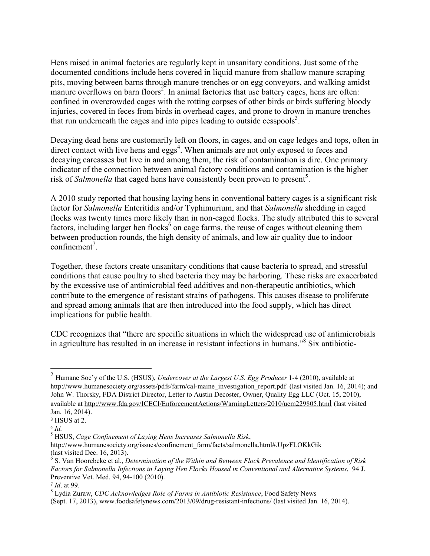Hens raised in animal factories are regularly kept in unsanitary conditions. Just some of the documented conditions include hens covered in liquid manure from shallow manure scraping pits, moving between barns through manure trenches or on egg conveyors, and walking amidst manure overflows on barn floors<sup>2</sup>. In animal factories that use battery cages, hens are often: confined in overcrowded cages with the rotting corpses of other birds or birds suffering bloody injuries, covered in feces from birds in overhead cages, and prone to drown in manure trenches that run underneath the cages and into pipes leading to outside cesspools<sup>3</sup>.

Decaying dead hens are customarily left on floors, in cages, and on cage ledges and tops, often in direct contact with live hens and  $eggs<sup>4</sup>$ . When animals are not only exposed to feces and decaying carcasses but live in and among them, the risk of contamination is dire. One primary indicator of the connection between animal factory conditions and contamination is the higher risk of *Salmonella* that caged hens have consistently been proven to present<sup>5</sup>.

A 2010 study reported that housing laying hens in conventional battery cages is a significant risk factor for *Salmonella* Enteritidis and/or Typhimurium, and that *Salmonella* shedding in caged flocks was twenty times more likely than in non-caged flocks. The study attributed this to several factors, including larger hen flocks<sup> $6$ </sup> on cage farms, the reuse of cages without cleaning them between production rounds, the high density of animals, and low air quality due to indoor  $\text{confinement}^7$ .

Together, these factors create unsanitary conditions that cause bacteria to spread, and stressful conditions that cause poultry to shed bacteria they may be harboring. These risks are exacerbated by the excessive use of antimicrobial feed additives and non-therapeutic antibiotics, which contribute to the emergence of resistant strains of pathogens. This causes disease to proliferate and spread among animals that are then introduced into the food supply, which has direct implications for public health.

CDC recognizes that "there are specific situations in which the widespread use of antimicrobials in agriculture has resulted in an increase in resistant infections in humans."<sup>8</sup> Six antibiotic-

<u>.</u>

<sup>2</sup> Humane Soc'y of the U.S. (HSUS), *Undercover at the Largest U.S. Egg Producer* 1-4 (2010), available at http://www.humanesociety.org/assets/pdfs/farm/cal-maine\_investigation\_report.pdf (last visited Jan. 16, 2014); and John W. Thorsky, FDA District Director, Letter to Austin Decoster, Owner, Quality Egg LLC (Oct. 15, 2010), available at http://www.fda.gov/ICECI/EnforcementActions/WarningLetters/2010/ucm229805.html (last visited Jan. 16, 2014).

<sup>3</sup> HSUS at 2.

<sup>4</sup> *Id.*

<sup>5</sup> HSUS, *Cage Confinement of Laying Hens Increases Salmonella Risk*,

http://www.humanesociety.org/issues/confinement\_farm/facts/salmonella.html#.UpzFLOKkGik (last visited Dec. 16, 2013).

<sup>6</sup> S. Van Hoorebeke et al., *Determination of the Within and Between Flock Prevalence and Identification of Risk Factors for Salmonella Infections in Laying Hen Flocks Housed in Conventional and Alternative Systems*, 94 J. Preventive Vet. Med. 94, 94-100 (2010).

<sup>7</sup> *Id*. at 99.

<sup>8</sup> Lydia Zuraw, *CDC Acknowledges Role of Farms in Antibiotic Resistance*, Food Safety News

<sup>(</sup>Sept. 17, 2013), www.foodsafetynews.com/2013/09/drug-resistant-infections/ (last visited Jan. 16, 2014).